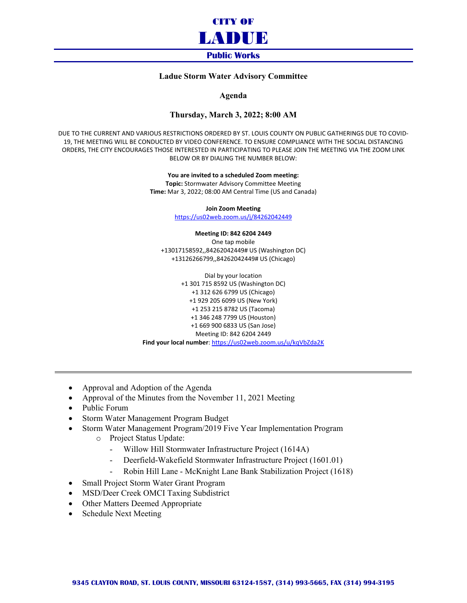

## **Ladue Storm Water Advisory Committee**

**Agenda**

## **Thursday, March 3, 2022; 8:00 AM**

DUE TO THE CURRENT AND VARIOUS RESTRICTIONS ORDERED BY ST. LOUIS COUNTY ON PUBLIC GATHERINGS DUE TO COVID-19, THE MEETING WILL BE CONDUCTED BY VIDEO CONFERENCE. TO ENSURE COMPLIANCE WITH THE SOCIAL DISTANCING ORDERS, THE CITY ENCOURAGES THOSE INTERESTED IN PARTICIPATING TO PLEASE JOIN THE MEETING VIA THE ZOOM LINK BELOW OR BY DIALING THE NUMBER BELOW:

> **You are invited to a scheduled Zoom meeting: Topic:** Stormwater Advisory Committee Meeting **Time:** Mar 3, 2022; 08:00 AM Central Time (US and Canada)

> > **Join Zoom Meeting** <https://us02web.zoom.us/j/84262042449>

**Meeting ID: 842 6204 2449** One tap mobile

+13017158592,,84262042449# US (Washington DC) +13126266799,,84262042449# US (Chicago)

Dial by your location +1 301 715 8592 US (Washington DC) +1 312 626 6799 US (Chicago) +1 929 205 6099 US (New York) +1 253 215 8782 US (Tacoma) +1 346 248 7799 US (Houston) +1 669 900 6833 US (San Jose) Meeting ID: 842 6204 2449 **Find your local number**[: https://us02web.zoom.us/u/kqVbZda2K](https://us02web.zoom.us/u/kqVbZda2K)

- Approval and Adoption of the Agenda
- Approval of the Minutes from the November 11, 2021 Meeting
- Public Forum
- Storm Water Management Program Budget
- Storm Water Management Program/2019 Five Year Implementation Program
	- o Project Status Update:
		- Willow Hill Stormwater Infrastructure Project (1614A)
		- Deerfield-Wakefield Stormwater Infrastructure Project (1601.01)
		- Robin Hill Lane McKnight Lane Bank Stabilization Project (1618)
- Small Project Storm Water Grant Program
- MSD/Deer Creek OMCI Taxing Subdistrict
- Other Matters Deemed Appropriate
- Schedule Next Meeting